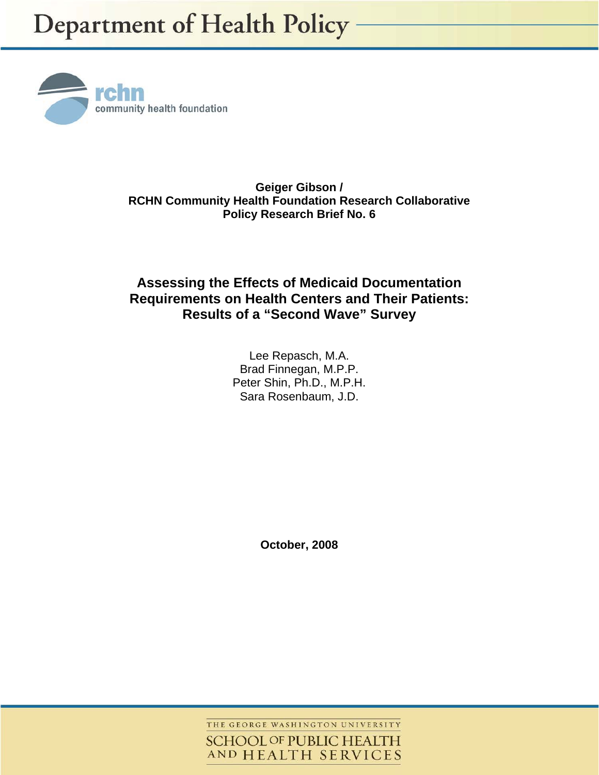

**Geiger Gibson / RCHN Community Health Foundation Research Collaborative Policy Research Brief No. 6** 

# **Assessing the Effects of Medicaid Documentation Requirements on Health Centers and Their Patients: Results of a "Second Wave" Survey**

Lee Repasch, M.A. Brad Finnegan, M.P.P. Peter Shin, Ph.D., M.P.H. Sara Rosenbaum, J.D.

**October, 2008** 

THE GEORGE WASHINGTON UNIVERSITY **SCHOOL OF PUBLIC HEALTH** AND HEALTH SERVICES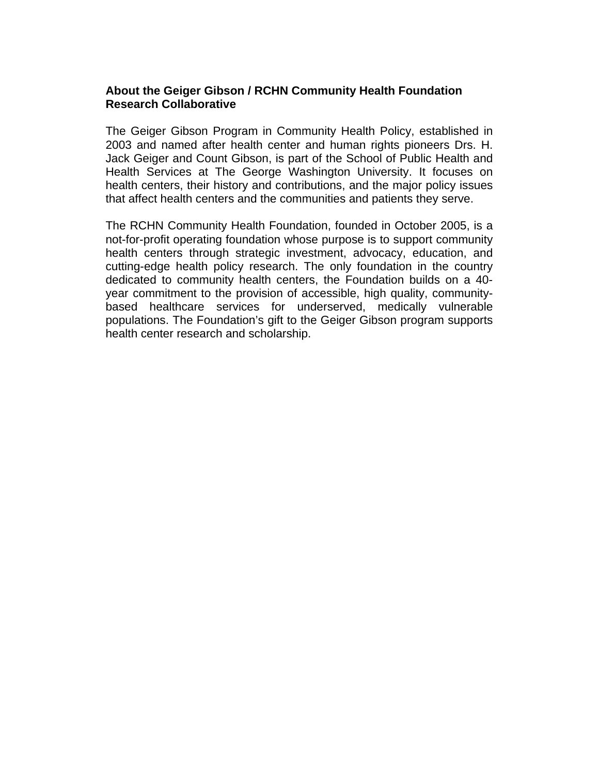## **About the Geiger Gibson / RCHN Community Health Foundation Research Collaborative**

The Geiger Gibson Program in Community Health Policy, established in 2003 and named after health center and human rights pioneers Drs. H. Jack Geiger and Count Gibson, is part of the School of Public Health and Health Services at The George Washington University. It focuses on health centers, their history and contributions, and the major policy issues that affect health centers and the communities and patients they serve.

The RCHN Community Health Foundation, founded in October 2005, is a not-for-profit operating foundation whose purpose is to support community health centers through strategic investment, advocacy, education, and cutting-edge health policy research. The only foundation in the country dedicated to community health centers, the Foundation builds on a 40 year commitment to the provision of accessible, high quality, communitybased healthcare services for underserved, medically vulnerable populations. The Foundation's gift to the Geiger Gibson program supports health center research and scholarship.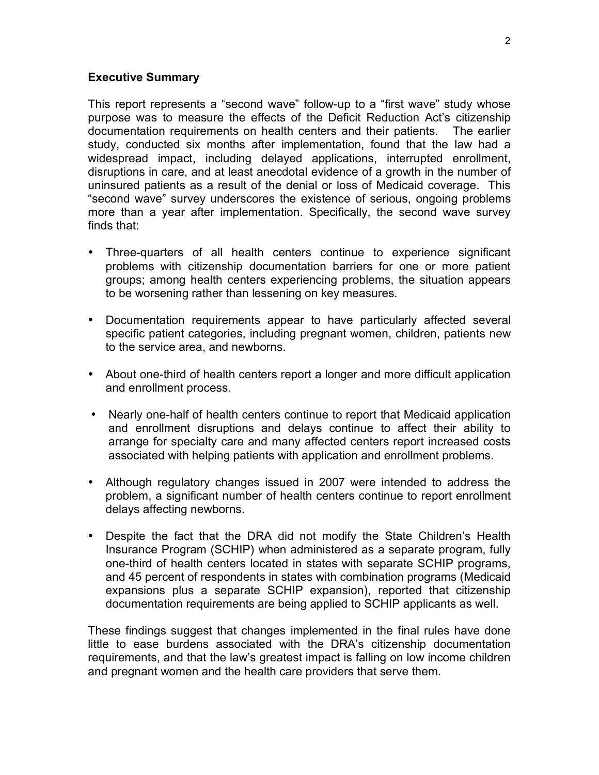### **Executive Summary**

This report represents a "second wave" follow-up to a "first wave" study whose purpose was to measure the effects of the Deficit Reduction Act's citizenship documentation requirements on health centers and their patients. The earlier study, conducted six months after implementation, found that the law had a widespread impact, including delayed applications, interrupted enrollment, disruptions in care, and at least anecdotal evidence of a growth in the number of uninsured patients as a result of the denial or loss of Medicaid coverage. This "second wave" survey underscores the existence of serious, ongoing problems more than a year after implementation. Specifically, the second wave survey finds that:

- Three-quarters of all health centers continue to experience significant problems with citizenship documentation barriers for one or more patient groups; among health centers experiencing problems, the situation appears to be worsening rather than lessening on key measures.
- Documentation requirements appear to have particularly affected several specific patient categories, including pregnant women, children, patients new to the service area, and newborns.
- About one-third of health centers report a longer and more difficult application and enrollment process.
- Nearly one-half of health centers continue to report that Medicaid application and enrollment disruptions and delays continue to affect their ability to arrange for specialty care and many affected centers report increased costs associated with helping patients with application and enrollment problems.
- Although regulatory changes issued in 2007 were intended to address the problem, a significant number of health centers continue to report enrollment delays affecting newborns.
- Despite the fact that the DRA did not modify the State Children's Health Insurance Program (SCHIP) when administered as a separate program, fully one-third of health centers located in states with separate SCHIP programs, and 45 percent of respondents in states with combination programs (Medicaid expansions plus a separate SCHIP expansion), reported that citizenship documentation requirements are being applied to SCHIP applicants as well.

These findings suggest that changes implemented in the final rules have done little to ease burdens associated with the DRA's citizenship documentation requirements, and that the law's greatest impact is falling on low income children and pregnant women and the health care providers that serve them.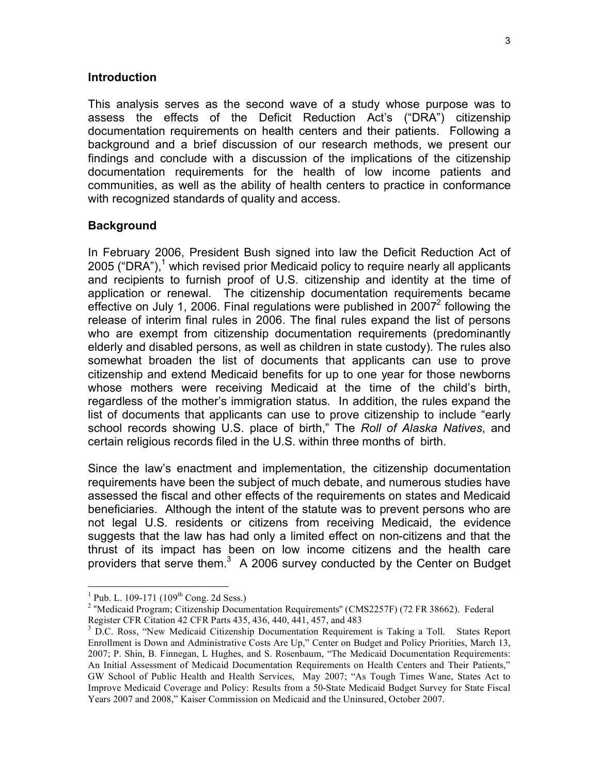#### **Introduction**

This analysis serves as the second wave of a study whose purpose was to assess the effects of the Deficit Reduction Act's ("DRA") citizenship documentation requirements on health centers and their patients. Following a background and a brief discussion of our research methods, we present our findings and conclude with a discussion of the implications of the citizenship documentation requirements for the health of low income patients and communities, as well as the ability of health centers to practice in conformance with recognized standards of quality and access.

### **Background**

In February 2006, President Bush signed into law the Deficit Reduction Act of 2005 ("DRA"),<sup>1</sup> which revised prior Medicaid policy to require nearly all applicants and recipients to furnish proof of U.S. citizenship and identity at the time of application or renewal. The citizenship documentation requirements became effective on July 1, 2006. Final regulations were published in  $2007<sup>2</sup>$  following the release of interim final rules in 2006. The final rules expand the list of persons who are exempt from citizenship documentation requirements (predominantly elderly and disabled persons, as well as children in state custody). The rules also somewhat broaden the list of documents that applicants can use to prove citizenship and extend Medicaid benefits for up to one year for those newborns whose mothers were receiving Medicaid at the time of the child's birth, regardless of the mother's immigration status. In addition, the rules expand the list of documents that applicants can use to prove citizenship to include "early school records showing U.S. place of birth," The *Roll of Alaska Natives*, and certain religious records filed in the U.S. within three months of birth.

Since the law's enactment and implementation, the citizenship documentation requirements have been the subject of much debate, and numerous studies have assessed the fiscal and other effects of the requirements on states and Medicaid beneficiaries. Although the intent of the statute was to prevent persons who are not legal U.S. residents or citizens from receiving Medicaid, the evidence suggests that the law has had only a limited effect on non-citizens and that the thrust of its impact has been on low income citizens and the health care providers that serve them. $3$  A 2006 survey conducted by the Center on Budget

 $\frac{1}{1}$ <sup>1</sup> Pub. L. 109-171 (109<sup>th</sup> Cong. 2d Sess.)

<sup>&</sup>lt;sup>2</sup> "Medicaid Program; Citizenship Documentation Requirements" (CMS2257F) (72 FR 38662). Federal Register CFR Citation 42 CFR Parts 435, 436, 440, 441, 457, and 483

<sup>&</sup>lt;sup>3</sup> D.C. Ross, "New Medicaid Citizenship Documentation Requirement is Taking a Toll. States Report Enrollment is Down and Administrative Costs Are Up," Center on Budget and Policy Priorities, March 13, 2007; P. Shin, B. Finnegan, L Hughes, and S. Rosenbaum, "The Medicaid Documentation Requirements: An Initial Assessment of Medicaid Documentation Requirements on Health Centers and Their Patients," GW School of Public Health and Health Services, May 2007; "As Tough Times Wane, States Act to Improve Medicaid Coverage and Policy: Results from a 50-State Medicaid Budget Survey for State Fiscal Years 2007 and 2008," Kaiser Commission on Medicaid and the Uninsured, October 2007.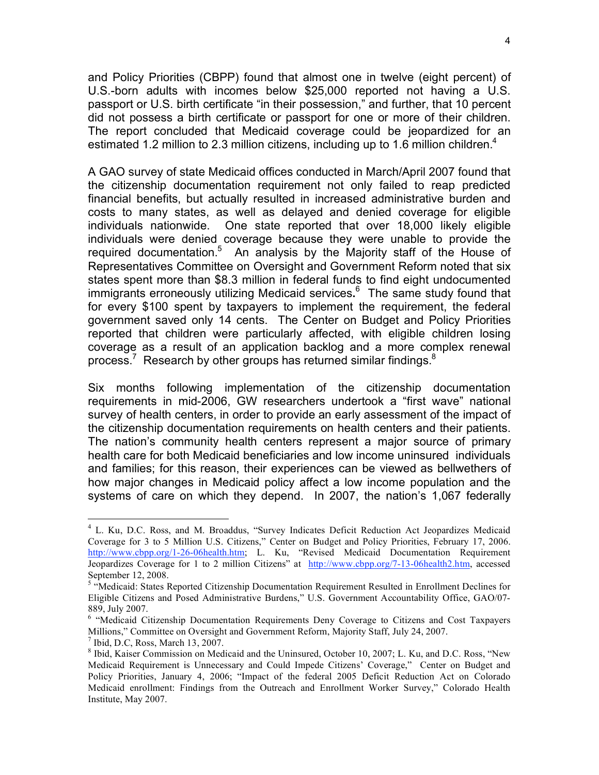and Policy Priorities (CBPP) found that almost one in twelve (eight percent) of U.S.-born adults with incomes below \$25,000 reported not having a U.S. passport or U.S. birth certificate "in their possession," and further, that 10 percent did not possess a birth certificate or passport for one or more of their children. The report concluded that Medicaid coverage could be jeopardized for an estimated 1.2 million to 2.3 million citizens, including up to 1.6 million children.<sup>4</sup>

A GAO survey of state Medicaid offices conducted in March/April 2007 found that the citizenship documentation requirement not only failed to reap predicted financial benefits, but actually resulted in increased administrative burden and costs to many states, as well as delayed and denied coverage for eligible individuals nationwide. One state reported that over 18,000 likely eligible individuals were denied coverage because they were unable to provide the required documentation.<sup>5</sup> An analysis by the Majority staff of the House of Representatives Committee on Oversight and Government Reform noted that six states spent more than \$8.3 million in federal funds to find eight undocumented immigrants erroneously utilizing Medicaid services**.** 6 The same study found that for every \$100 spent by taxpayers to implement the requirement, the federal government saved only 14 cents. The Center on Budget and Policy Priorities reported that children were particularly affected, with eligible children losing coverage as a result of an application backlog and a more complex renewal process.<sup>7</sup> Research by other groups has returned similar findings.<sup>8</sup>

Six months following implementation of the citizenship documentation requirements in mid-2006, GW researchers undertook a "first wave" national survey of health centers, in order to provide an early assessment of the impact of the citizenship documentation requirements on health centers and their patients. The nation's community health centers represent a major source of primary health care for both Medicaid beneficiaries and low income uninsured individuals and families; for this reason, their experiences can be viewed as bellwethers of how major changes in Medicaid policy affect a low income population and the systems of care on which they depend. In 2007, the nation's 1,067 federally

 $\frac{1}{4}$ <sup>4</sup> L. Ku, D.C. Ross, and M. Broaddus, "Survey Indicates Deficit Reduction Act Jeopardizes Medicaid Coverage for 3 to 5 Million U.S. Citizens," Center on Budget and Policy Priorities, February 17, 2006. http://www.cbpp.org/1-26-06health.htm; L. Ku, "Revised Medicaid Documentation Requirement Jeopardizes Coverage for 1 to 2 million Citizens" at http://www.cbpp.org/7-13-06health2.htm, accessed September 12, 2008.

<sup>&</sup>lt;sup>5</sup> "Medicaid: States Reported Citizenship Documentation Requirement Resulted in Enrollment Declines for Eligible Citizens and Posed Administrative Burdens," U.S. Government Accountability Office, GAO/07- 889, July 2007.

<sup>&</sup>lt;sup>6</sup> "Medicaid Citizenship Documentation Requirements Deny Coverage to Citizens and Cost Taxpayers Millions," Committee on Oversight and Government Reform, Majority Staff, July 24, 2007.

 $<sup>7</sup>$  Ibid, D.C, Ross, March 13, 2007.</sup>

<sup>8</sup> Ibid, Kaiser Commission on Medicaid and the Uninsured, October 10, 2007; L. Ku, and D.C. Ross, "New Medicaid Requirement is Unnecessary and Could Impede Citizens' Coverage," Center on Budget and Policy Priorities, January 4, 2006; "Impact of the federal 2005 Deficit Reduction Act on Colorado Medicaid enrollment: Findings from the Outreach and Enrollment Worker Survey," Colorado Health Institute, May 2007.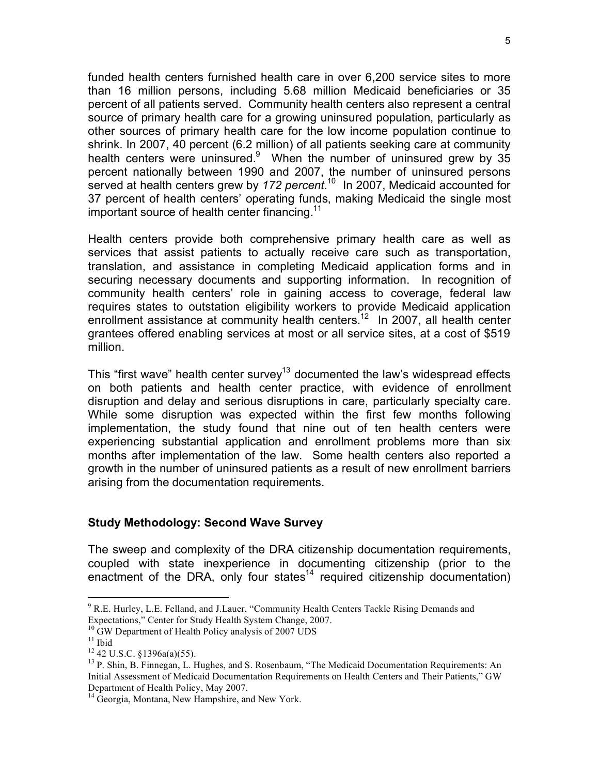funded health centers furnished health care in over 6,200 service sites to more than 16 million persons, including 5.68 million Medicaid beneficiaries or 35 percent of all patients served. Community health centers also represent a central source of primary health care for a growing uninsured population, particularly as other sources of primary health care for the low income population continue to shrink. In 2007, 40 percent (6.2 million) of all patients seeking care at community health centers were uninsured.<sup>9</sup> When the number of uninsured grew by 35 percent nationally between 1990 and 2007, the number of uninsured persons served at health centers grew by *172 percent*. 10 In 2007, Medicaid accounted for 37 percent of health centers' operating funds, making Medicaid the single most important source of health center financing.<sup>11</sup>

Health centers provide both comprehensive primary health care as well as services that assist patients to actually receive care such as transportation, translation, and assistance in completing Medicaid application forms and in securing necessary documents and supporting information. In recognition of community health centers' role in gaining access to coverage, federal law requires states to outstation eligibility workers to provide Medicaid application enrollment assistance at community health centers.<sup>12</sup> In 2007, all health center grantees offered enabling services at most or all service sites, at a cost of \$519 million.

This "first wave" health center survey<sup>13</sup> documented the law's widespread effects on both patients and health center practice, with evidence of enrollment disruption and delay and serious disruptions in care, particularly specialty care. While some disruption was expected within the first few months following implementation, the study found that nine out of ten health centers were experiencing substantial application and enrollment problems more than six months after implementation of the law. Some health centers also reported a growth in the number of uninsured patients as a result of new enrollment barriers arising from the documentation requirements.

### **Study Methodology: Second Wave Survey**

The sweep and complexity of the DRA citizenship documentation requirements, coupled with state inexperience in documenting citizenship (prior to the enactment of the DRA, only four states<sup>14</sup> required citizenship documentation)

<sup>-&</sup>lt;br>9 <sup>9</sup> R.E. Hurley, L.E. Felland, and J.Lauer, "Community Health Centers Tackle Rising Demands and Expectations," Center for Study Health System Change, 2007.

<sup>&</sup>lt;sup>10</sup> GW Department of Health Policy analysis of 2007 UDS<br><sup>11</sup> Ibid <sup>12</sup> 42 U.S.C. §1396a(a)(55).

<sup>&</sup>lt;sup>13</sup> P. Shin, B. Finnegan, L. Hughes, and S. Rosenbaum, "The Medicaid Documentation Requirements: An Initial Assessment of Medicaid Documentation Requirements on Health Centers and Their Patients," GW Department of Health Policy, May 2007.

<sup>&</sup>lt;sup>14</sup> Georgia, Montana, New Hampshire, and New York.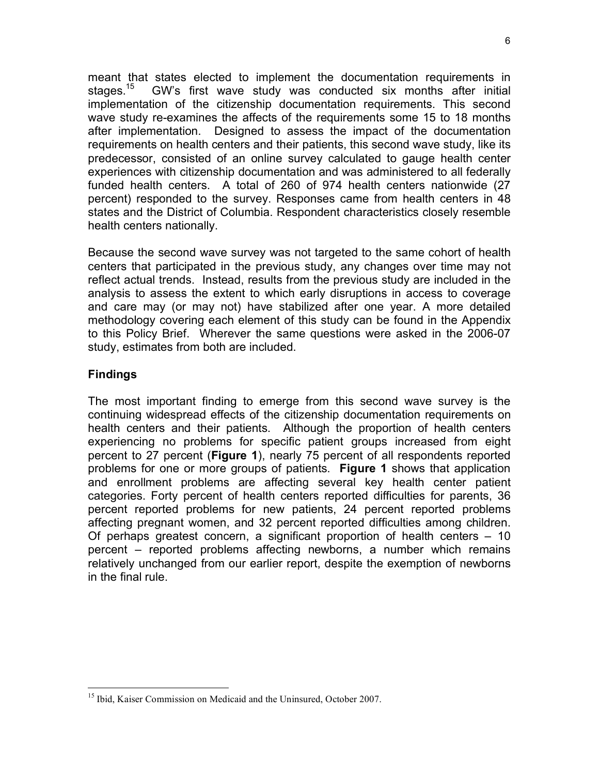meant that states elected to implement the documentation requirements in stages.<sup>15</sup> GW's first wave study was conducted six months after initial implementation of the citizenship documentation requirements. This second wave study re-examines the affects of the requirements some 15 to 18 months after implementation. Designed to assess the impact of the documentation requirements on health centers and their patients, this second wave study, like its predecessor, consisted of an online survey calculated to gauge health center experiences with citizenship documentation and was administered to all federally funded health centers. A total of 260 of 974 health centers nationwide (27 percent) responded to the survey. Responses came from health centers in 48 states and the District of Columbia. Respondent characteristics closely resemble health centers nationally.

Because the second wave survey was not targeted to the same cohort of health centers that participated in the previous study, any changes over time may not reflect actual trends. Instead, results from the previous study are included in the analysis to assess the extent to which early disruptions in access to coverage and care may (or may not) have stabilized after one year. A more detailed methodology covering each element of this study can be found in the Appendix to this Policy Brief. Wherever the same questions were asked in the 2006-07 study, estimates from both are included.

# **Findings**

The most important finding to emerge from this second wave survey is the continuing widespread effects of the citizenship documentation requirements on health centers and their patients. Although the proportion of health centers experiencing no problems for specific patient groups increased from eight percent to 27 percent (**Figure 1**), nearly 75 percent of all respondents reported problems for one or more groups of patients. **Figure 1** shows that application and enrollment problems are affecting several key health center patient categories. Forty percent of health centers reported difficulties for parents, 36 percent reported problems for new patients, 24 percent reported problems affecting pregnant women, and 32 percent reported difficulties among children. Of perhaps greatest concern, a significant proportion of health centers – 10 percent – reported problems affecting newborns, a number which remains relatively unchanged from our earlier report, despite the exemption of newborns in the final rule.

<sup>&</sup>lt;sup>15</sup> Ibid, Kaiser Commission on Medicaid and the Uninsured, October 2007.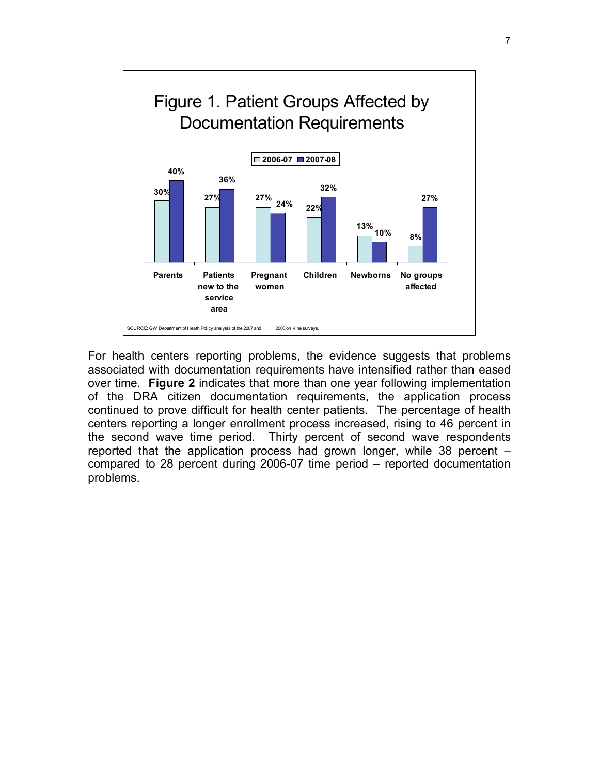

For health centers reporting problems, the evidence suggests that problems associated with documentation requirements have intensified rather than eased over time. **Figure 2** indicates that more than one year following implementation of the DRA citizen documentation requirements, the application process continued to prove difficult for health center patients. The percentage of health centers reporting a longer enrollment process increased, rising to 46 percent in the second wave time period. Thirty percent of second wave respondents reported that the application process had grown longer, while 38 percent – compared to 28 percent during 2006-07 time period – reported documentation problems.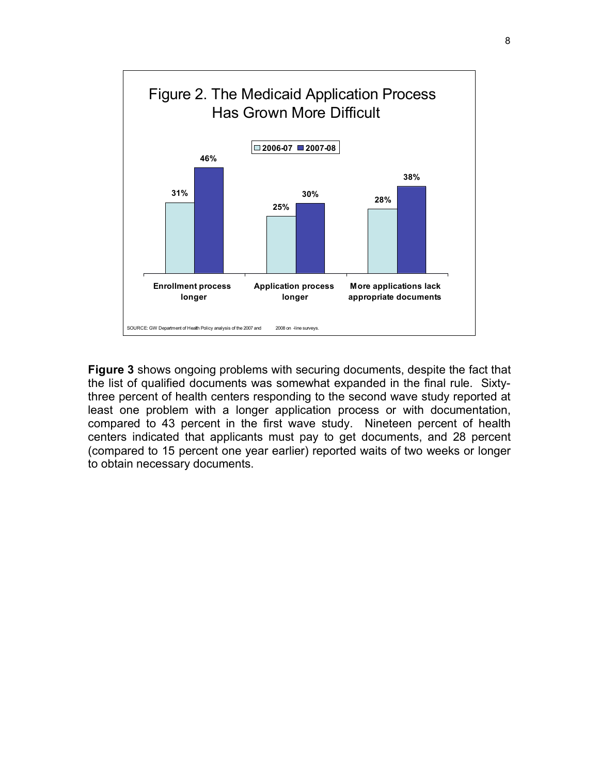

**Figure 3** shows ongoing problems with securing documents, despite the fact that the list of qualified documents was somewhat expanded in the final rule. Sixtythree percent of health centers responding to the second wave study reported at least one problem with a longer application process or with documentation, compared to 43 percent in the first wave study. Nineteen percent of health centers indicated that applicants must pay to get documents, and 28 percent (compared to 15 percent one year earlier) reported waits of two weeks or longer to obtain necessary documents.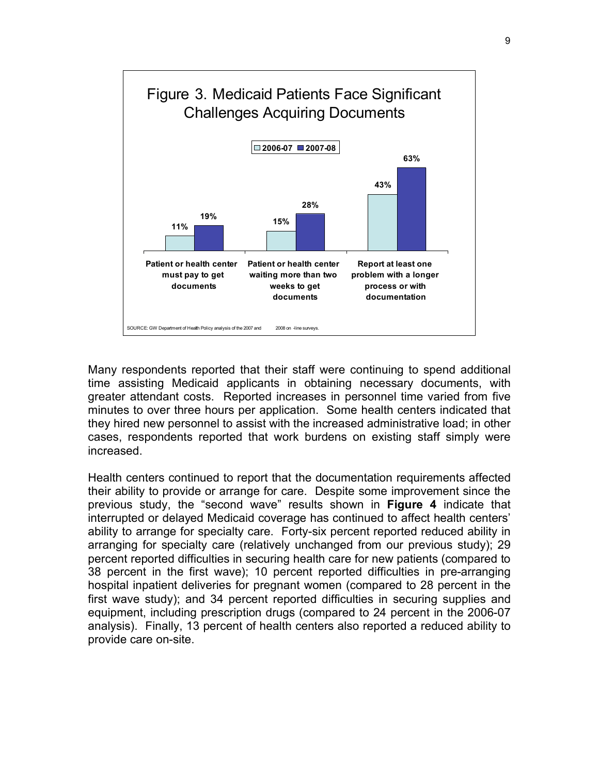

Many respondents reported that their staff were continuing to spend additional time assisting Medicaid applicants in obtaining necessary documents, with greater attendant costs. Reported increases in personnel time varied from five minutes to over three hours per application. Some health centers indicated that they hired new personnel to assist with the increased administrative load; in other cases, respondents reported that work burdens on existing staff simply were increased.

Health centers continued to report that the documentation requirements affected their ability to provide or arrange for care. Despite some improvement since the previous study, the "second wave" results shown in **Figure 4** indicate that interrupted or delayed Medicaid coverage has continued to affect health centers' ability to arrange for specialty care. Forty-six percent reported reduced ability in arranging for specialty care (relatively unchanged from our previous study); 29 percent reported difficulties in securing health care for new patients (compared to 38 percent in the first wave); 10 percent reported difficulties in pre-arranging hospital inpatient deliveries for pregnant women (compared to 28 percent in the first wave study); and 34 percent reported difficulties in securing supplies and equipment, including prescription drugs (compared to 24 percent in the 2006-07 analysis). Finally, 13 percent of health centers also reported a reduced ability to provide care on-site.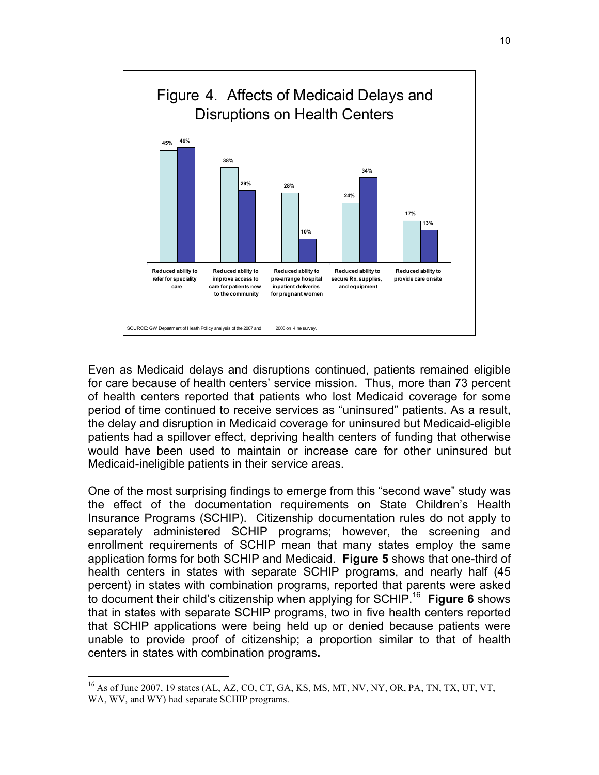

Even as Medicaid delays and disruptions continued, patients remained eligible for care because of health centers' service mission. Thus, more than 73 percent of health centers reported that patients who lost Medicaid coverage for some period of time continued to receive services as "uninsured" patients. As a result, the delay and disruption in Medicaid coverage for uninsured but Medicaid-eligible patients had a spillover effect, depriving health centers of funding that otherwise would have been used to maintain or increase care for other uninsured but Medicaid-ineligible patients in their service areas.

One of the most surprising findings to emerge from this "second wave" study was the effect of the documentation requirements on State Children's Health Insurance Programs (SCHIP). Citizenship documentation rules do not apply to separately administered SCHIP programs; however, the screening and enrollment requirements of SCHIP mean that many states employ the same application forms for both SCHIP and Medicaid. **Figure 5** shows that one-third of health centers in states with separate SCHIP programs, and nearly half (45 percent) in states with combination programs, reported that parents were asked to document their child's citizenship when applying for SCHIP.16 **Figure 6** shows that in states with separate SCHIP programs, two in five health centers reported that SCHIP applications were being held up or denied because patients were unable to provide proof of citizenship; a proportion similar to that of health centers in states with combination programs**.**

 $^{16}$  As of June 2007, 19 states (AL, AZ, CO, CT, GA, KS, MS, MT, NV, NY, OR, PA, TN, TX, UT, VT, WA, WV, and WY) had separate SCHIP programs.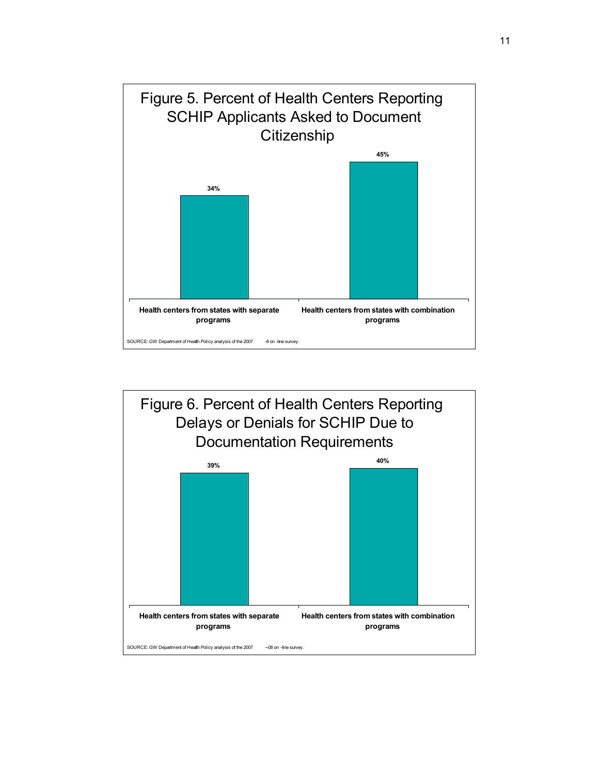

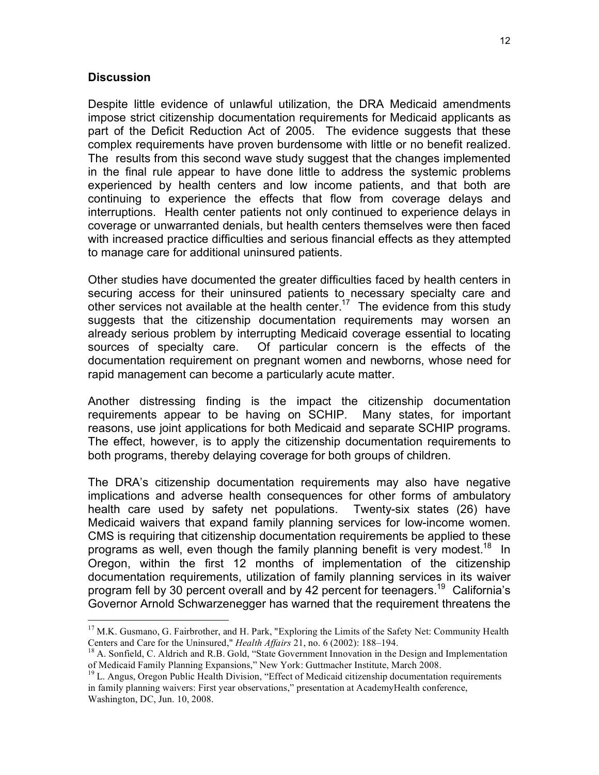### **Discussion**

Despite little evidence of unlawful utilization, the DRA Medicaid amendments impose strict citizenship documentation requirements for Medicaid applicants as part of the Deficit Reduction Act of 2005. The evidence suggests that these complex requirements have proven burdensome with little or no benefit realized. The results from this second wave study suggest that the changes implemented in the final rule appear to have done little to address the systemic problems experienced by health centers and low income patients, and that both are continuing to experience the effects that flow from coverage delays and interruptions. Health center patients not only continued to experience delays in coverage or unwarranted denials, but health centers themselves were then faced with increased practice difficulties and serious financial effects as they attempted to manage care for additional uninsured patients.

Other studies have documented the greater difficulties faced by health centers in securing access for their uninsured patients to necessary specialty care and other services not available at the health center.<sup>17</sup> The evidence from this study suggests that the citizenship documentation requirements may worsen an already serious problem by interrupting Medicaid coverage essential to locating sources of specialty care. Of particular concern is the effects of the documentation requirement on pregnant women and newborns, whose need for rapid management can become a particularly acute matter.

Another distressing finding is the impact the citizenship documentation requirements appear to be having on SCHIP. Many states, for important reasons, use joint applications for both Medicaid and separate SCHIP programs. The effect, however, is to apply the citizenship documentation requirements to both programs, thereby delaying coverage for both groups of children.

The DRA's citizenship documentation requirements may also have negative implications and adverse health consequences for other forms of ambulatory health care used by safety net populations. Twenty-six states (26) have Medicaid waivers that expand family planning services for low-income women. CMS is requiring that citizenship documentation requirements be applied to these programs as well, even though the family planning benefit is very modest.<sup>18</sup> In Oregon, within the first 12 months of implementation of the citizenship documentation requirements, utilization of family planning services in its waiver program fell by 30 percent overall and by 42 percent for teenagers.<sup>19</sup> California's Governor Arnold Schwarzenegger has warned that the requirement threatens the

<sup>&</sup>lt;sup>17</sup> M.K. Gusmano, G. Fairbrother, and H. Park, "Exploring the Limits of the Safety Net: Community Health Centers and Care for the Uninsured," *Health Affairs* 21, no. 6 (2002): 188–194.

<sup>&</sup>lt;sup>18</sup> A. Sonfield, C. Aldrich and R.B. Gold, "State Government Innovation in the Design and Implementation

of Medicaid Family Planning Expansions," New York: Guttmacher Institute, March 2008. 19 L. Angus, Oregon Public Health Division, "Effect of Medicaid citizenship documentation requirements in family planning waivers: First year observations," presentation at AcademyHealth conference, Washington, DC, Jun. 10, 2008.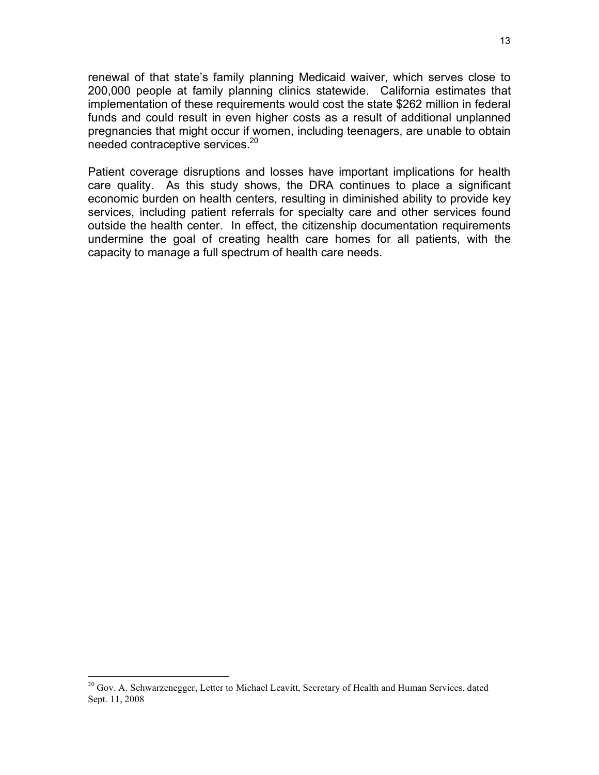renewal of that state's family planning Medicaid waiver, which serves close to 200,000 people at family planning clinics statewide. California estimates that implementation of these requirements would cost the state \$262 million in federal funds and could result in even higher costs as a result of additional unplanned pregnancies that might occur if women, including teenagers, are unable to obtain needed contraceptive services.20

Patient coverage disruptions and losses have important implications for health care quality. As this study shows, the DRA continues to place a significant economic burden on health centers, resulting in diminished ability to provide key services, including patient referrals for specialty care and other services found outside the health center. In effect, the citizenship documentation requirements undermine the goal of creating health care homes for all patients, with the capacity to manage a full spectrum of health care needs.

 $^{20}$  Gov. A. Schwarzenegger, Letter to Michael Leavitt, Secretary of Health and Human Services, dated Sept. 11, 2008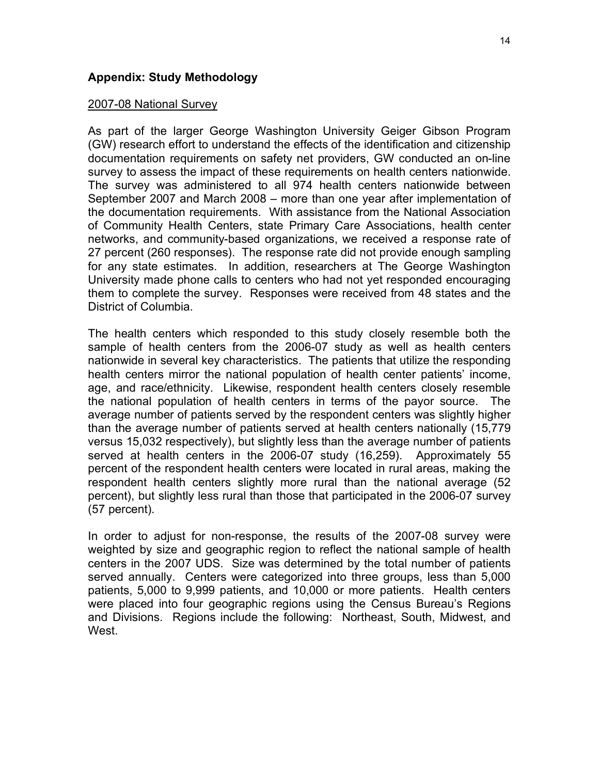## **Appendix: Study Methodology**

### 2007-08 National Survey

As part of the larger George Washington University Geiger Gibson Program (GW) research effort to understand the effects of the identification and citizenship documentation requirements on safety net providers, GW conducted an on-line survey to assess the impact of these requirements on health centers nationwide. The survey was administered to all 974 health centers nationwide between September 2007 and March 2008 – more than one year after implementation of the documentation requirements. With assistance from the National Association of Community Health Centers, state Primary Care Associations, health center networks, and community-based organizations, we received a response rate of 27 percent (260 responses). The response rate did not provide enough sampling for any state estimates. In addition, researchers at The George Washington University made phone calls to centers who had not yet responded encouraging them to complete the survey. Responses were received from 48 states and the District of Columbia.

The health centers which responded to this study closely resemble both the sample of health centers from the 2006-07 study as well as health centers nationwide in several key characteristics. The patients that utilize the responding health centers mirror the national population of health center patients' income, age, and race/ethnicity. Likewise, respondent health centers closely resemble the national population of health centers in terms of the payor source. The average number of patients served by the respondent centers was slightly higher than the average number of patients served at health centers nationally (15,779 versus 15,032 respectively), but slightly less than the average number of patients served at health centers in the 2006-07 study (16,259). Approximately 55 percent of the respondent health centers were located in rural areas, making the respondent health centers slightly more rural than the national average (52 percent), but slightly less rural than those that participated in the 2006-07 survey (57 percent).

In order to adjust for non-response, the results of the 2007-08 survey were weighted by size and geographic region to reflect the national sample of health centers in the 2007 UDS. Size was determined by the total number of patients served annually. Centers were categorized into three groups, less than 5,000 patients, 5,000 to 9,999 patients, and 10,000 or more patients. Health centers were placed into four geographic regions using the Census Bureau's Regions and Divisions. Regions include the following: Northeast, South, Midwest, and West.